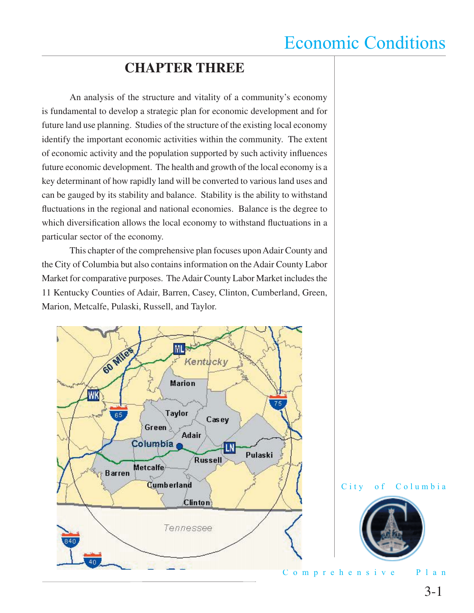### **CHAPTER THREE**

 An analysis of the structure and vitality of a community's economy is fundamental to develop a strategic plan for economic development and for future land use planning. Studies of the structure of the existing local economy identify the important economic activities within the community. The extent of economic activity and the population supported by such activity influences future economic development. The health and growth of the local economy is a key determinant of how rapidly land will be converted to various land uses and can be gauged by its stability and balance. Stability is the ability to withstand fluctuations in the regional and national economies. Balance is the degree to which diversification allows the local economy to withstand fluctuations in a particular sector of the economy.

 This chapter of the comprehensive plan focuses upon Adair County and the City of Columbia but also contains information on the Adair County Labor Market for comparative purposes. The Adair County Labor Market includes the 11 Kentucky Counties of Adair, Barren, Casey, Clinton, Cumberland, Green, Marion, Metcalfe, Pulaski, Russell, and Taylor.





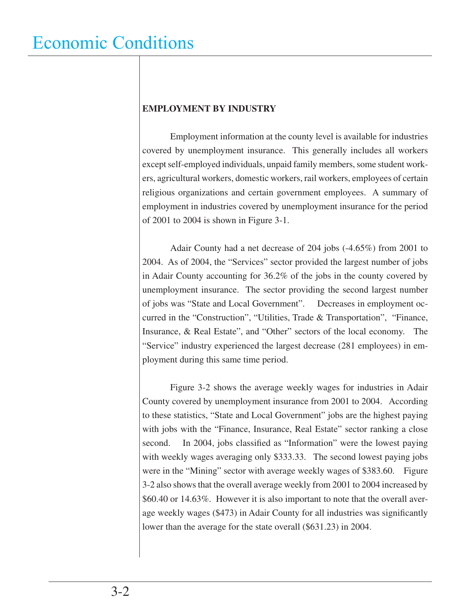#### **EMPLOYMENT BY INDUSTRY**

 Employment information at the county level is available for industries covered by unemployment insurance. This generally includes all workers except self-employed individuals, unpaid family members, some student workers, agricultural workers, domestic workers, rail workers, employees of certain religious organizations and certain government employees. A summary of employment in industries covered by unemployment insurance for the period of 2001 to 2004 is shown in Figure 3-1.

 Adair County had a net decrease of 204 jobs (-4.65%) from 2001 to 2004. As of 2004, the "Services" sector provided the largest number of jobs in Adair County accounting for 36.2% of the jobs in the county covered by unemployment insurance. The sector providing the second largest number of jobs was "State and Local Government". Decreases in employment occurred in the "Construction", "Utilities, Trade & Transportation", "Finance, Insurance, & Real Estate", and "Other" sectors of the local economy. The "Service" industry experienced the largest decrease (281 employees) in employment during this same time period.

 Figure 3-2 shows the average weekly wages for industries in Adair County covered by unemployment insurance from 2001 to 2004. According to these statistics, "State and Local Government" jobs are the highest paying with jobs with the "Finance, Insurance, Real Estate" sector ranking a close second. In 2004, jobs classified as "Information" were the lowest paying with weekly wages averaging only \$333.33. The second lowest paying jobs were in the "Mining" sector with average weekly wages of \$383.60. Figure 3-2 also shows that the overall average weekly from 2001 to 2004 increased by \$60.40 or 14.63%. However it is also important to note that the overall average weekly wages (\$473) in Adair County for all industries was significantly lower than the average for the state overall (\$631.23) in 2004.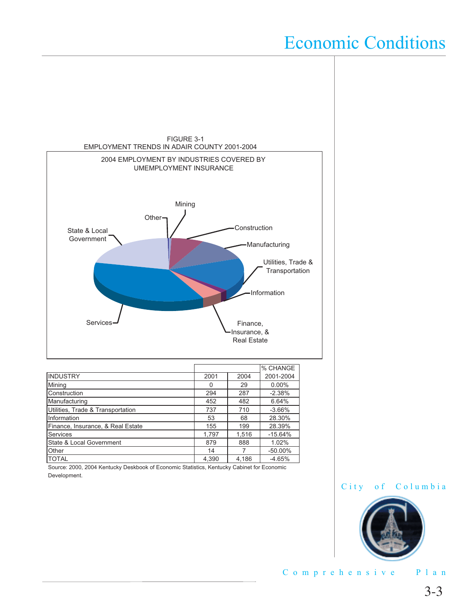

TOTAL 4,390 4,186 -4.65% Source: 2000, 2004 Kentucky Deskbook of Economic Statistics, Kentucky Cabinet for Economic Development.



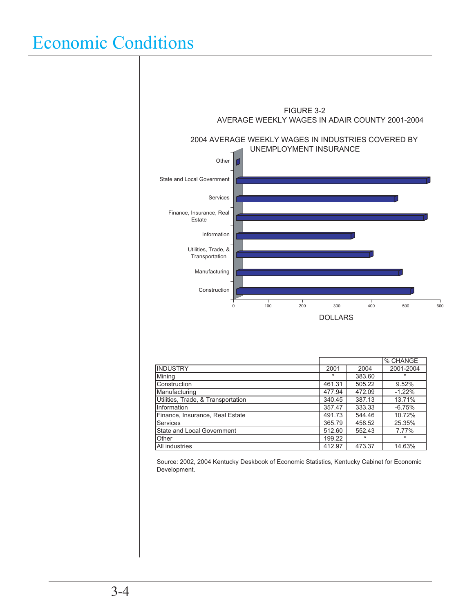

|                                    |        |         | % CHANGE  |
|------------------------------------|--------|---------|-----------|
| <b>INDUSTRY</b>                    | 2001   | 2004    | 2001-2004 |
| Mining                             | $\ast$ | 383.60  | $\star$   |
| Construction                       | 461.31 | 505.22  | 9.52%     |
| Manufacturing                      | 477.94 | 472.09  | $-1.22%$  |
| Utilities, Trade, & Transportation | 340.45 | 387.13  | 13.71%    |
| Information                        | 357.47 | 333.33  | $-6.75%$  |
| Finance, Insurance, Real Estate    | 491.73 | 544.46  | 10.72%    |
| <b>Services</b>                    | 365.79 | 458.52  | 25.35%    |
| State and Local Government         | 512.60 | 552.43  | 7.77%     |
| Other                              | 199.22 | $\star$ | $\star$   |
| All industries                     | 412.97 | 473.37  | 14.63%    |

Source: 2002, 2004 Kentucky Deskbook of Economic Statistics, Kentucky Cabinet for Economic Development.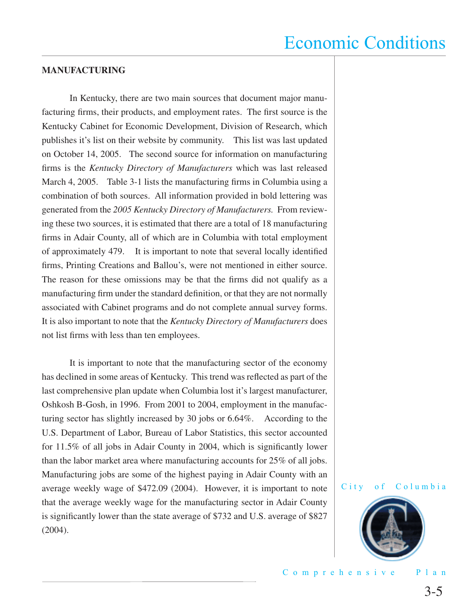#### **MANUFACTURING**

 In Kentucky, there are two main sources that document major manufacturing firms, their products, and employment rates. The first source is the Kentucky Cabinet for Economic Development, Division of Research, which publishes it's list on their website by community. This list was last updated on October 14, 2005. The second source for information on manufacturing firms is the *Kentucky Directory of Manufacturers* which was last released March 4, 2005. Table 3-1 lists the manufacturing firms in Columbia using a combination of both sources. All information provided in bold lettering was generated from the *2005 Kentucky Directory of Manufacturers.* From reviewing these two sources, it is estimated that there are a total of 18 manufacturing firms in Adair County, all of which are in Columbia with total employment of approximately 479. It is important to note that several locally identified firms, Printing Creations and Ballou's, were not mentioned in either source. The reason for these omissions may be that the firms did not qualify as a manufacturing firm under the standard definition, or that they are not normally associated with Cabinet programs and do not complete annual survey forms. It is also important to note that the *Kentucky Directory of Manufacturers* does not list firms with less than ten employees.

 It is important to note that the manufacturing sector of the economy has declined in some areas of Kentucky. This trend was reflected as part of the last comprehensive plan update when Columbia lost it's largest manufacturer, Oshkosh B-Gosh, in 1996. From 2001 to 2004, employment in the manufacturing sector has slightly increased by 30 jobs or 6.64%. According to the U.S. Department of Labor, Bureau of Labor Statistics, this sector accounted for 11.5% of all jobs in Adair County in 2004, which is significantly lower than the labor market area where manufacturing accounts for 25% of all jobs. Manufacturing jobs are some of the highest paying in Adair County with an average weekly wage of \$472.09 (2004). However, it is important to note that the average weekly wage for the manufacturing sector in Adair County is significantly lower than the state average of \$732 and U.S. average of \$827 (2004).

#### City of Columbia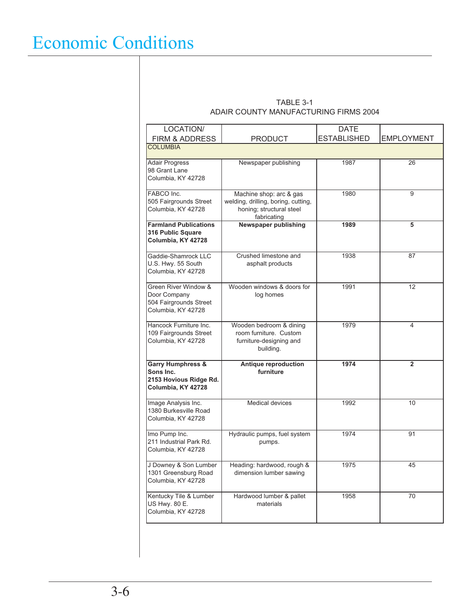#### TABLE 3-1 ADAIR COUNTY MANUFACTURING FIRMS 2004

| LOCATION/                                                                                 |                                                                                                           | <b>DATE</b>        |                   |
|-------------------------------------------------------------------------------------------|-----------------------------------------------------------------------------------------------------------|--------------------|-------------------|
| FIRM & ADDRESS                                                                            | PRODUCT                                                                                                   | <b>ESTABLISHED</b> | <b>EMPLOYMENT</b> |
| <b>COLUMBIA</b>                                                                           |                                                                                                           |                    |                   |
| <b>Adair Progress</b><br>98 Grant Lane<br>Columbia, KY 42728                              | Newspaper publishing                                                                                      | 1987               | 26                |
| FABCO Inc.<br>505 Fairgrounds Street<br>Columbia, KY 42728                                | Machine shop: arc & gas<br>welding, drilling, boring, cutting,<br>honing; structural steel<br>fabricating | 1980               | 9                 |
| <b>Farmland Publications</b><br>316 Public Square<br>Columbia, KY 42728                   | Newspaper publishing                                                                                      | 1989               | 5                 |
| Gaddie-Shamrock LLC<br>U.S. Hwy. 55 South<br>Columbia, KY 42728                           | Crushed limestone and<br>asphalt products                                                                 | 1938               | 87                |
| Green River Window &<br>Door Company<br>504 Fairgrounds Street<br>Columbia, KY 42728      | Wooden windows & doors for<br>log homes                                                                   | 1991               | 12                |
| Hancock Furniture Inc.<br>109 Fairgrounds Street<br>Columbia, KY 42728                    | Wooden bedroom & dining<br>room furniture. Custom<br>furniture-designing and<br>building.                 | 1979               | 4                 |
| <b>Garry Humphress &amp;</b><br>Sons Inc.<br>2153 Hovious Ridge Rd.<br>Columbia, KY 42728 | Antique reproduction<br>furniture                                                                         | 1974               | $\overline{2}$    |
| Image Analysis Inc.<br>1380 Burkesville Road<br>Columbia, KY 42728                        | <b>Medical devices</b>                                                                                    | 1992               | 10                |
| Imo Pump Inc.<br>211 Industrial Park Rd.<br>Columbia, KY 42728                            | Hydraulic pumps, fuel system<br>pumps.                                                                    | 1974               | 91                |
| J Downey & Son Lumber<br>1301 Greensburg Road<br>Columbia, KY 42728                       | Heading: hardwood, rough &<br>dimension lumber sawing                                                     | 1975               | 45                |
| Kentucky Tile & Lumber<br>US Hwy. 80 E.<br>Columbia, KY 42728                             | Hardwood lumber & pallet<br>materials                                                                     | 1958               | 70                |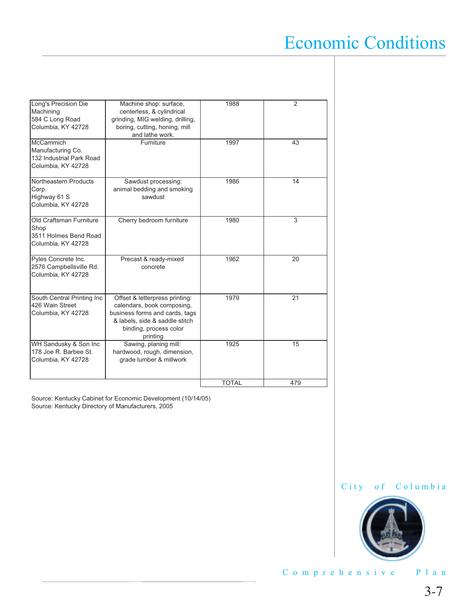| Long's Precision Die<br>Machining<br>584 C Long Road<br>Columbia, KY 42728              | Machine shop: surface,<br>centerless, & cylindrical<br>grinding, MIG welding, drilling,<br>boring, cutting, honing, mill<br>and lathe work.                            | 1988         | 2   |
|-----------------------------------------------------------------------------------------|------------------------------------------------------------------------------------------------------------------------------------------------------------------------|--------------|-----|
| <b>McCammich</b><br>Manufacturing Co.<br>132 Industrial Park Road<br>Columbia, KY 42728 | Furniture                                                                                                                                                              | 1997         | 43  |
| Northeastern Products<br>Corp.<br>Highway 61 S<br>Columbia, KY 42728                    | Sawdust processing:<br>animal bedding and smoking<br>sawdust                                                                                                           | 1986         | 14  |
| Old Craftsman Furniture<br>Shop<br>3511 Holmes Bend Road<br>Columbia, KY 42728          | Cherry bedroom furniture                                                                                                                                               | 1980         | 3   |
| Pyles Concrete Inc.<br>2576 Campbellsville Rd.<br>Columbia, KY 42728                    | Precast & ready-mixed<br>concrete                                                                                                                                      | 1962         | 20  |
| South Central Printing Inc<br>426 Wain Street<br>Columbia, KY 42728                     | Offset & letterpress printing:<br>calendars, book composing,<br>business forms and cards, tags<br>& labels, side & saddle stitch<br>binding, process color<br>printing | 1979         | 21  |
| WH Sandusky & Son Inc<br>178 Joe R. Barbee St.<br>Columbia, KY 42728                    | Sawing, planing mill:<br>hardwood, rough, dimension,<br>grade lumber & millwork                                                                                        | 1925         | 15  |
|                                                                                         |                                                                                                                                                                        | <b>TOTAL</b> | 479 |

Source: Kentucky Cabinet for Economic Development (10/14/05) Source: Kentucky Directory of Manufacturers, 2005



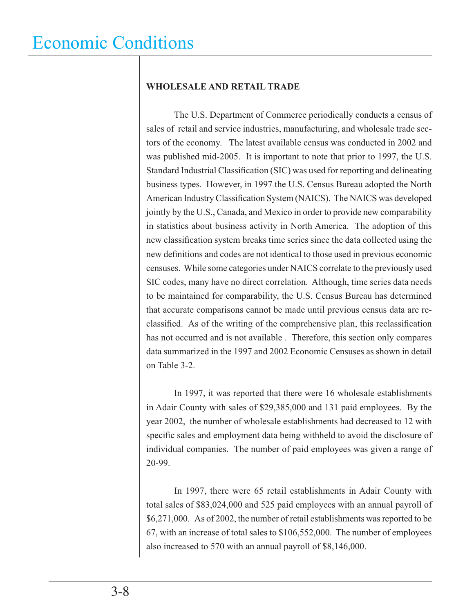#### **WHOLESALE AND RETAIL TRADE**

 The U.S. Department of Commerce periodically conducts a census of sales of retail and service industries, manufacturing, and wholesale trade sectors of the economy. The latest available census was conducted in 2002 and was published mid-2005. It is important to note that prior to 1997, the U.S. Standard Industrial Classification (SIC) was used for reporting and delineating business types. However, in 1997 the U.S. Census Bureau adopted the North American Industry Classification System (NAICS). The NAICS was developed jointly by the U.S., Canada, and Mexico in order to provide new comparability in statistics about business activity in North America. The adoption of this new classification system breaks time series since the data collected using the new definitions and codes are not identical to those used in previous economic censuses. While some categories under NAICS correlate to the previously used SIC codes, many have no direct correlation. Although, time series data needs to be maintained for comparability, the U.S. Census Bureau has determined that accurate comparisons cannot be made until previous census data are reclassified. As of the writing of the comprehensive plan, this reclassification has not occurred and is not available . Therefore, this section only compares data summarized in the 1997 and 2002 Economic Censuses as shown in detail on Table 3-2.

 In 1997, it was reported that there were 16 wholesale establishments in Adair County with sales of \$29,385,000 and 131 paid employees. By the year 2002, the number of wholesale establishments had decreased to 12 with specific sales and employment data being withheld to avoid the disclosure of individual companies. The number of paid employees was given a range of 20-99.

 In 1997, there were 65 retail establishments in Adair County with total sales of \$83,024,000 and 525 paid employees with an annual payroll of \$6,271,000. As of 2002, the number of retail establishments was reported to be 67, with an increase of total sales to \$106,552,000. The number of employees also increased to 570 with an annual payroll of \$8,146,000.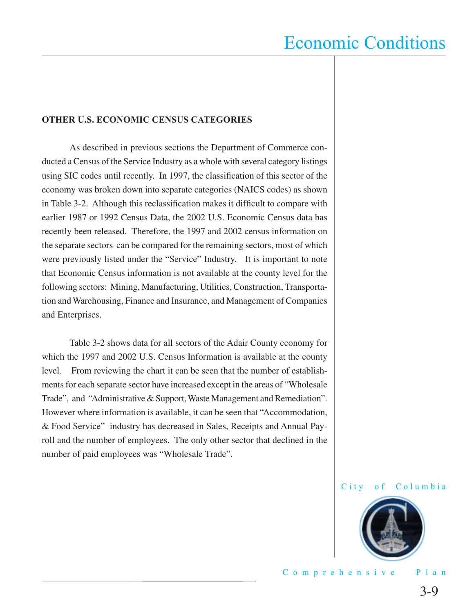#### **OTHER U.S. ECONOMIC CENSUS CATEGORIES**

 As described in previous sections the Department of Commerce conducted a Census of the Service Industry as a whole with several category listings using SIC codes until recently. In 1997, the classification of this sector of the economy was broken down into separate categories (NAICS codes) as shown in Table 3-2. Although this reclassification makes it difficult to compare with earlier 1987 or 1992 Census Data, the 2002 U.S. Economic Census data has recently been released. Therefore, the 1997 and 2002 census information on the separate sectors can be compared for the remaining sectors, most of which were previously listed under the "Service" Industry. It is important to note that Economic Census information is not available at the county level for the following sectors: Mining, Manufacturing, Utilities, Construction, Transportation and Warehousing, Finance and Insurance, and Management of Companies and Enterprises.

 Table 3-2 shows data for all sectors of the Adair County economy for which the 1997 and 2002 U.S. Census Information is available at the county level. From reviewing the chart it can be seen that the number of establishments for each separate sector have increased except in the areas of "Wholesale Trade", and "Administrative & Support, Waste Management and Remediation". However where information is available, it can be seen that "Accommodation, & Food Service" industry has decreased in Sales, Receipts and Annual Payroll and the number of employees. The only other sector that declined in the number of paid employees was "Wholesale Trade".



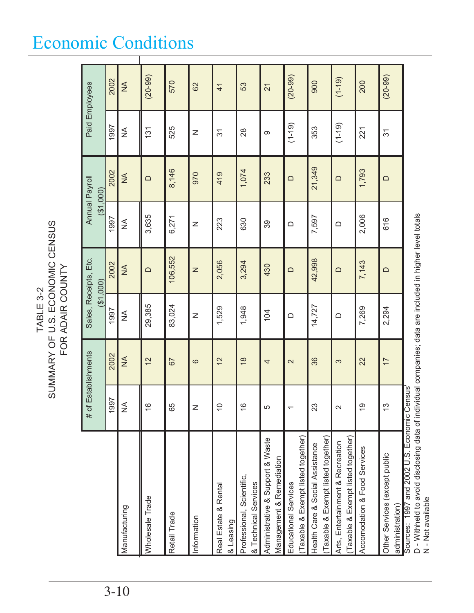# TABLE 3-2<br>SUMMARY OF U.S. ECONOMIC CENSUS<br>FOR ADAIR COUNTY SUMMARY OF U.S. ECONOMIC CENSUS FOR ADAIR COUNTY TABLE 3-2

|          |                                                                                                                                                                             | # of Establishments       |                   |              | Sales, Receipts, Etc.<br>(31,000)                                                     |               | Annual Payroll<br>(200) |                          | Paid Employees  |  |
|----------|-----------------------------------------------------------------------------------------------------------------------------------------------------------------------------|---------------------------|-------------------|--------------|---------------------------------------------------------------------------------------|---------------|-------------------------|--------------------------|-----------------|--|
|          |                                                                                                                                                                             | 1997                      | 2002              | 1997         | 2002                                                                                  | 1997          | 2002                    | 1997                     | 2002            |  |
| $3 - 10$ | Manufacturing                                                                                                                                                               | $\frac{1}{2}$             | $\frac{4}{2}$     | ≨            | $\frac{4}{2}$                                                                         | ≸             | $\frac{4}{2}$           | ≸                        | $\frac{4}{2}$   |  |
|          | Wholesale Trade                                                                                                                                                             | $\circ$<br>$\overline{ }$ | $\overline{2}$    | 29,385       | $\Box$                                                                                | 3,635         | $\Box$                  | 131                      | $(20-99)$       |  |
|          | Retail Trade                                                                                                                                                                | 65                        | 67                | 83,024       | 106,552                                                                               | 6,271         | 8,146                   | 525                      | 570             |  |
|          | Information                                                                                                                                                                 | ∠                         | $\circ$           | $\mathsf{z}$ | $\mathsf{Z}% _{T}=\mathsf{Z}_{T}\!\left( a,b\right) ,\ \mathsf{Z}_{T}=\mathsf{Z}_{T}$ | $\mathsf{z}$  | 970                     | Z                        | 62              |  |
|          | Real Estate & Rental<br>& Leasing                                                                                                                                           | $\circ$                   | $\overline{2}$    | 1,529        | 2,056                                                                                 | 223           | 419                     | $\overline{\mathcal{E}}$ | $\overline{4}$  |  |
|          | Professional, Scientific,<br>& Technical Services                                                                                                                           | ဖ                         | $\frac{8}{1}$     | 1,948        | 3,294                                                                                 | 630           | 1,074                   | 28                       | 53              |  |
|          | Administrative & Support & Waste<br>Management & Remediation                                                                                                                | ц,                        | 4                 | 104          | 430                                                                                   | 39            | 233                     | တ                        | $\overline{21}$ |  |
|          | Taxable & Exempt listed together)<br>Educational Services                                                                                                                   |                           | $\mathbf{\Omega}$ | $\Box$       | $\Box$                                                                                | $\hfill \Box$ | $\Box$                  | $(1 - 19)$               | $(20-99)$       |  |
|          | Taxable & Exempt listed together)<br>Health Care & Social Assistance                                                                                                        | 23                        | 36                | 14,727       | 42,998                                                                                | 7,597         | 21,349                  | 353                      | 900             |  |
|          | Taxable & Exempt listed together)<br>Arts, Entertainment & Recreation                                                                                                       |                           | 3                 | $\Box$       | ≏                                                                                     | $\Box$        | $\Omega$                | $(1 - 19)$               | $(1 - 19)$      |  |
|          | Accomodation & Food Services                                                                                                                                                | တ                         | 22                | 7,269        | 7,143                                                                                 | 2,006         | 1,793                   | 221                      | 200             |  |
|          | Other Services (except public<br>administration)                                                                                                                            | Μ                         | $\overline{1}$    | 2,294        | $\Box$                                                                                | 616           | $\Box$                  | $\overline{3}$           | $(20-99)$       |  |
|          | D - Withheld to avoid disclosing data of individual companies; data are included in higher level totals<br>N - Not available<br>Sources: 1997 and 2002 U.S. Economic Census |                           |                   |              |                                                                                       |               |                         |                          |                 |  |

### Economic Conditions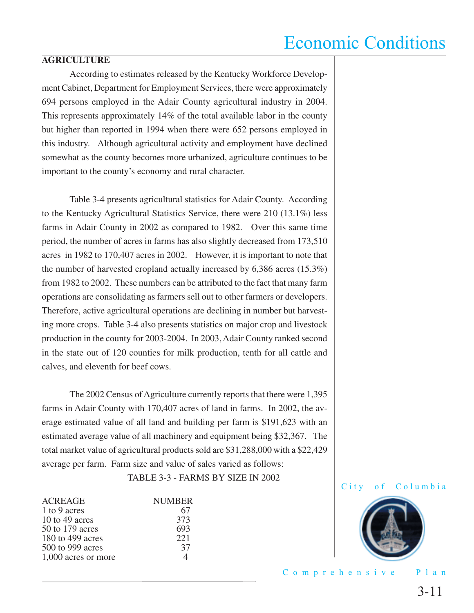#### **AGRICULTURE**

 According to estimates released by the Kentucky Workforce Development Cabinet, Department for Employment Services, there were approximately 694 persons employed in the Adair County agricultural industry in 2004. This represents approximately 14% of the total available labor in the county but higher than reported in 1994 when there were 652 persons employed in this industry. Although agricultural activity and employment have declined somewhat as the county becomes more urbanized, agriculture continues to be important to the county's economy and rural character.

 Table 3-4 presents agricultural statistics for Adair County. According to the Kentucky Agricultural Statistics Service, there were 210 (13.1%) less farms in Adair County in 2002 as compared to 1982. Over this same time period, the number of acres in farms has also slightly decreased from 173,510 acres in 1982 to 170,407 acres in 2002. However, it is important to note that the number of harvested cropland actually increased by 6,386 acres (15.3%) from 1982 to 2002. These numbers can be attributed to the fact that many farm operations are consolidating as farmers sell out to other farmers or developers. Therefore, active agricultural operations are declining in number but harvesting more crops. Table 3-4 also presents statistics on major crop and livestock production in the county for 2003-2004. In 2003, Adair County ranked second in the state out of 120 counties for milk production, tenth for all cattle and calves, and eleventh for beef cows.

 The 2002 Census of Agriculture currently reports that there were 1,395 farms in Adair County with 170,407 acres of land in farms. In 2002, the average estimated value of all land and building per farm is \$191,623 with an estimated average value of all machinery and equipment being \$32,367. The total market value of agricultural products sold are \$31,288,000 with a \$22,429 average per farm. Farm size and value of sales varied as follows:

TABLE 3-3 - FARMS BY SIZE IN 2002

| <b>ACREAGE</b>      | <b>NUMBER</b> |
|---------------------|---------------|
| 1 to 9 acres        | 67            |
| 10 to 49 acres      | 373           |
| 50 to 179 acres     | 693           |
| 180 to 499 acres    | 221           |
| 500 to 999 acres    | 37            |
| 1,000 acres or more |               |

City of Columbia

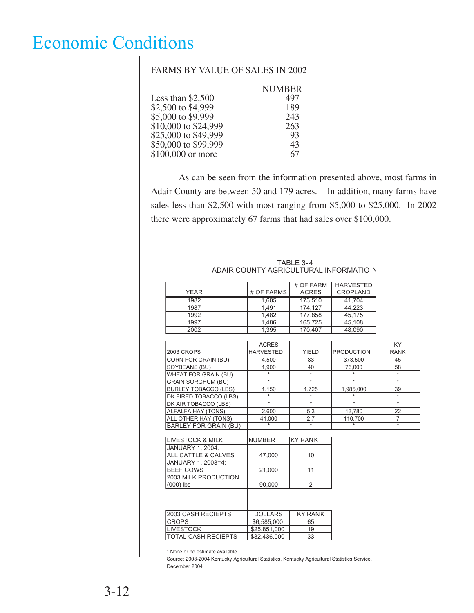#### FARMS BY VALUE OF SALES IN 2002

|                      | <b>NUMBER</b> |
|----------------------|---------------|
| Less than $$2,500$   | 497           |
| \$2,500 to \$4,999   | 189           |
| \$5,000 to \$9,999   | 243           |
| \$10,000 to \$24,999 | 263           |
| \$25,000 to \$49,999 | 93            |
| \$50,000 to \$99,999 | 43            |
| \$100,000 or more    | 67            |

 As can be seen from the information presented above, most farms in Adair County are between 50 and 179 acres. In addition, many farms have sales less than \$2,500 with most ranging from \$5,000 to \$25,000. In 2002 there were approximately 67 farms that had sales over \$100,000.

|                              |                  | # OF FARM      | <b>HARVESTED</b>  |                |
|------------------------------|------------------|----------------|-------------------|----------------|
| <b>YEAR</b>                  | # OF FARMS       | <b>ACRES</b>   | <b>CROPLAND</b>   |                |
| 1982                         | 1,605            | 173,510        | 41.704            |                |
| 1987                         | 1,491            | 174,127        | 44,223            |                |
| 1992                         | 1,482            | 177,858        | 45,175            |                |
| 1997                         | 1,486            | 165,725        | 45,108            |                |
| 2002                         | 1,395            | 170.407        | 48,090            |                |
|                              |                  |                |                   |                |
|                              | <b>ACRES</b>     |                |                   | <b>KY</b>      |
| <b>2003 CROPS</b>            | <b>HARVESTED</b> | <b>YIELD</b>   | <b>PRODUCTION</b> | <b>RANK</b>    |
| CORN FOR GRAIN (BU)          | 4,500            | 83             | 373,500           | 45             |
| SOYBEANS (BU)                | 1,900            | 40             | 76,000            | 58             |
| <b>WHEAT FOR GRAIN (BU)</b>  | $\star$          | $\star$        |                   | $\star$        |
| <b>GRAIN SORGHUM (BU)</b>    | $\star$          | $\star$        | $\star$           | $\star$        |
| <b>BURLEY TOBACCO (LBS)</b>  | 1,150            | 1.725          | 1,985,000         | 39             |
| DK FIRED TOBACCO (LBS)       | ÷                | ÷              |                   | $\star$        |
| DK AIR TOBACCO (LBS)         | $\star$          | $\star$        | $\star$           | $\star$        |
| ALFALFA HAY (TONS)           | 2,600            | 5.3            | 13,780            | 22             |
| ALL OTHER HAY (TONS)         | 41.000           | 2.7            | 110.700           | $\overline{7}$ |
| <b>BARLEY FOR GRAIN (BU)</b> |                  | $\star$        |                   | $\star$        |
|                              |                  |                |                   |                |
| <b>LIVESTOCK &amp; MILK</b>  | <b>NUMBER</b>    | <b>KY RANK</b> |                   |                |
| <b>JANUARY 1. 2004:</b>      |                  |                |                   |                |
| ALL CATTLE & CALVES          | 47,000           | 10             |                   |                |
| JANUARY 1, 2003=4:           |                  |                |                   |                |
| <b>BEEF COWS</b>             | 21,000           | 11             |                   |                |
| 2003 MILK PRODUCTION         |                  |                |                   |                |
| $(000)$ lbs                  | 90,000           | 2              |                   |                |
|                              |                  |                |                   |                |
|                              |                  |                |                   |                |
|                              |                  |                |                   |                |
| 2003 CASH RECIEPTS           | <b>DOLLARS</b>   | <b>KY RANK</b> |                   |                |
| <b>CROPS</b>                 | \$6,585,000      | 65             |                   |                |
| <b>LIVESTOCK</b>             | \$25,851,000     | 19             |                   |                |
| <b>TOTAL CASH RECIEPTS</b>   | \$32,436,000     | 33             |                   |                |

#### TABLE 3- 4 ADAIR COUNTY AGRICULTURAL INFORMATIO N

\* None or no estimate available

Source: 2003-2004 Kentucky Agricultural Statistics, Kentucky Agricultural Statistics Service. December 2004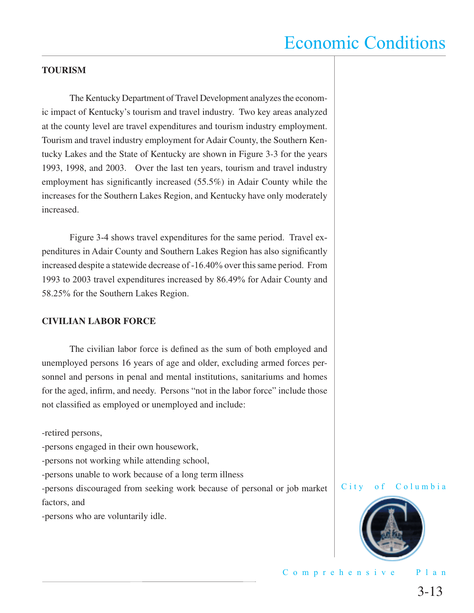#### **TOURISM**

 The Kentucky Department of Travel Development analyzes the economic impact of Kentucky's tourism and travel industry. Two key areas analyzed at the county level are travel expenditures and tourism industry employment. Tourism and travel industry employment for Adair County, the Southern Kentucky Lakes and the State of Kentucky are shown in Figure 3-3 for the years 1993, 1998, and 2003. Over the last ten years, tourism and travel industry employment has significantly increased  $(55.5%)$  in Adair County while the increases for the Southern Lakes Region, and Kentucky have only moderately increased.

 Figure 3-4 shows travel expenditures for the same period. Travel expenditures in Adair County and Southern Lakes Region has also significantly increased despite a statewide decrease of -16.40% over this same period. From 1993 to 2003 travel expenditures increased by 86.49% for Adair County and 58.25% for the Southern Lakes Region.

#### **CIVILIAN LABOR FORCE**

The civilian labor force is defined as the sum of both employed and unemployed persons 16 years of age and older, excluding armed forces personnel and persons in penal and mental institutions, sanitariums and homes for the aged, infirm, and needy. Persons "not in the labor force" include those not classified as employed or unemployed and include:

-retired persons,

-persons engaged in their own housework,

-persons not working while attending school,

-persons unable to work because of a long term illness

-persons discouraged from seeking work because of personal or job market factors, and

-persons who are voluntarily idle.



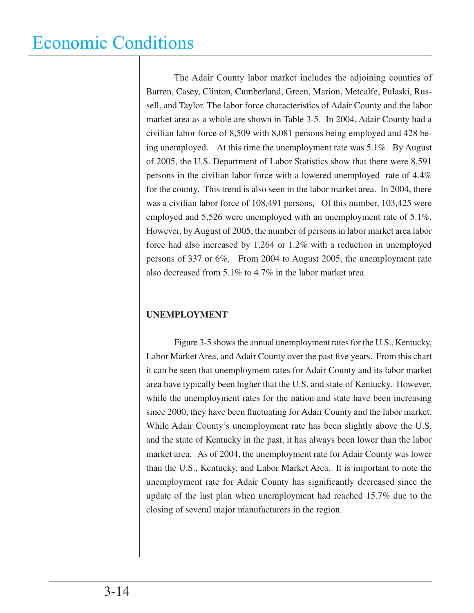The Adair County labor market includes the adjoining counties of Barren, Casey, Clinton, Cumberland, Green, Marion, Metcalfe, Pulaski, Russell, and Taylor. The labor force characteristics of Adair County and the labor market area as a whole are shown in Table 3-5. In 2004, Adair County had a civilian labor force of 8,509 with 8,081 persons being employed and 428 being unemployed. At this time the unemployment rate was 5.1%. By August of 2005, the U.S. Department of Labor Statistics show that there were 8,591 persons in the civilian labor force with a lowered unemployed rate of 4.4% for the county. This trend is also seen in the labor market area. In 2004, there was a civilian labor force of 108,491 persons, Of this number, 103,425 were employed and 5,526 were unemployed with an unemployment rate of 5.1%. However, by August of 2005, the number of persons in labor market area labor force had also increased by 1,264 or 1.2% with a reduction in unemployed persons of 337 or 6%, From 2004 to August 2005, the unemployment rate also decreased from 5.1% to 4.7% in the labor market area.

#### **UNEMPLOYMENT**

 Figure 3-5 shows the annual unemployment rates for the U.S., Kentucky, Labor Market Area, and Adair County over the past five years. From this chart it can be seen that unemployment rates for Adair County and its labor market area have typically been higher that the U.S. and state of Kentucky. However, while the unemployment rates for the nation and state have been increasing since 2000, they have been fluctuating for Adair County and the labor market. While Adair County's unemployment rate has been slightly above the U.S. and the state of Kentucky in the past, it has always been lower than the labor market area. As of 2004, the unemployment rate for Adair County was lower than the U.S., Kentucky, and Labor Market Area. It is important to note the unemployment rate for Adair County has significantly decreased since the update of the last plan when unemployment had reached 15.7% due to the closing of several major manufacturers in the region.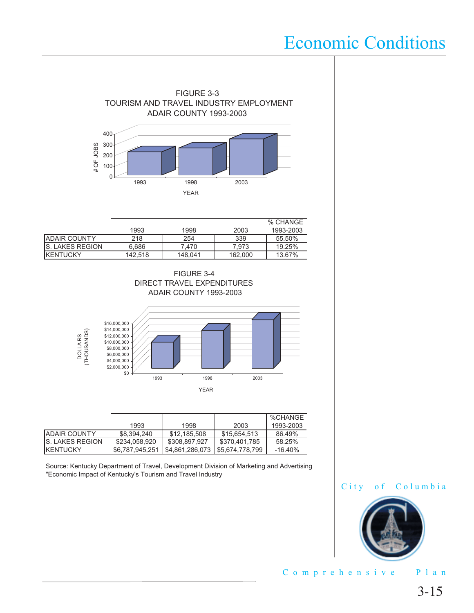

|                         |         |         |         | % CHANGE  |
|-------------------------|---------|---------|---------|-----------|
|                         | 1993    | 1998    | 2003    | 1993-2003 |
| <b>JADAIR COUNTY</b>    | 218     | 254     | 339     | 55.50%    |
| <b>IS. LAKES REGION</b> | 6.686   | 7.470   | 7.973   | 19.25%    |
| <b>IKENTUCKY</b>        | 142.518 | 148.041 | 162,000 | 13.67%    |





|                         |                 |                 |                | %CHANGE   |
|-------------------------|-----------------|-----------------|----------------|-----------|
|                         | 1993            | 1998            | 2003           | 1993-2003 |
| <b>JADAIR COUNTY</b>    | \$8.394.240     | \$12.185.508    | \$15,654,513   | 86.49%    |
| <b>IS. LAKES REGION</b> | \$234,058,920   | \$308,897.927   | \$370,401.785  | 58.25%    |
| <b>KENTUCKY</b>         | \$6.787.945.251 | \$4,861,286,073 | S5.674.778.799 | $-16.40%$ |

Source: Kentucky Department of Travel, Development Division of Marketing and Advertising "Economic Impact of Kentucky's Tourism and Travel Industry

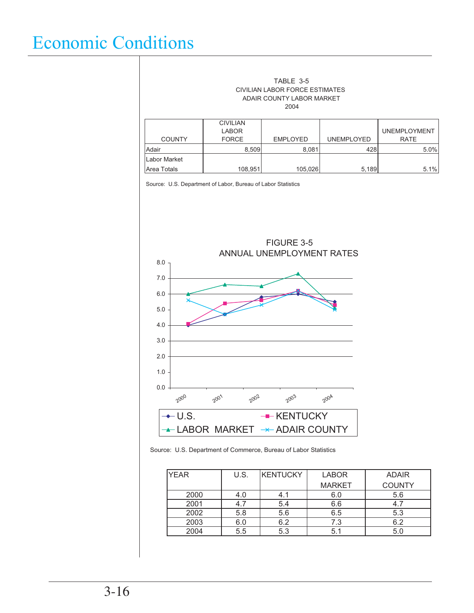#### ADAIR COUNTY LABOR MARKET TABLE 3-5 CIVILIAN LABOR FORCE ESTIMATES 2004

|               | <b>CIVILIAN</b><br><b>LABOR</b> |                 |                   | <b>UNEMPLOYMENT</b> |
|---------------|---------------------------------|-----------------|-------------------|---------------------|
| <b>COUNTY</b> | <b>FORCE</b>                    | <b>EMPLOYED</b> | <b>UNEMPLOYED</b> | <b>RATE</b>         |
| Adair         | 8.509                           | 8,081           | 428               | 5.0%                |
| Labor Market  |                                 |                 |                   |                     |
| Area Totals   | 108,951                         | 105,026         | 5,189             | 5.1%                |

Source: U.S. Department of Labor, Bureau of Labor Statistics



Source: U.S. Department of Commerce, Bureau of Labor Statistics

| <b>YEAR</b> | U.S. | KENTUCKY | <b>LABOR</b>  | <b>ADAIR</b>  |
|-------------|------|----------|---------------|---------------|
|             |      |          | <b>MARKET</b> | <b>COUNTY</b> |
| 2000        | 4.0  | 4.1      | 6.0           | 5.6           |
| 2001        |      | 5.4      | 6.6           |               |
| 2002        | 5.8  | 5.6      | 6.5           | 5.3           |
| 2003        | 6.0  | 6.2      | 7.3           | 6.2           |
| 2004        | 5.5  | 5.3      | 5.1           | 5.0           |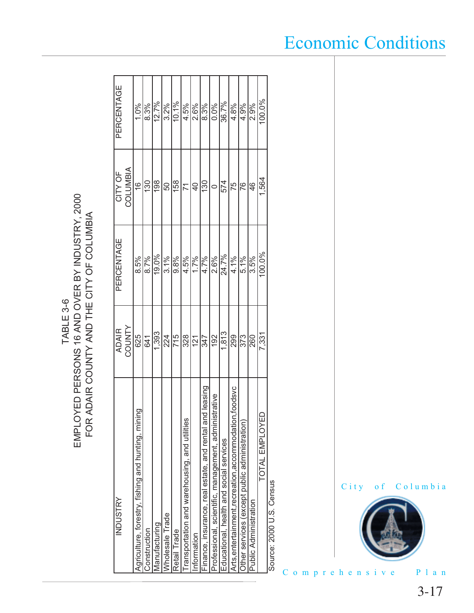EMPLOYED PERSONS 16 AND OVER BY INDUSTRY, 2000<br>FOR ADAIR COUNTY AND THE CITY OF COLUMBIA EMPLOYED PERSONS 16 AND OVER BY INDUSTRY, 2000FOR ADAIR COUNTY AND THE CITY OF COLUMBIA TABLE 3-6 TABLE 3-6

| INDUSTRY                                                  | <b>ADAIR</b>   | PERCENTAGE | CITY OF              | PERCENTAGE |
|-----------------------------------------------------------|----------------|------------|----------------------|------------|
|                                                           | <b>TAINDOC</b> |            | <b>AIBIND10C</b>     |            |
| ρū<br>Agriculture, forestry, fishing and hunting, mini    | 625            | 8.5%       | $\overset{\circ}{=}$ | 1.0%       |
| Construction                                              | 641            | 8.7%       | 130                  | 8.3%       |
| Manufacturing                                             | 1.393          | 19.0%      | 198                  | 12.7%      |
| Wholesale Trade                                           | 224            | 3.1%       | 50                   | 3.2%       |
| Retail Trade                                              | 715            | 9.8%       | 158                  | 10.1%      |
| Transportation and warehousing, and utilities             | 328            | 4.5%       | 71                   | 4.5%       |
| ntormation                                                | 121            | 1.7%       | $\overline{a}$       | 2.6%       |
| Finance, insurance, real estate, and rental and leasing   | 347            | 4.7%       | 130                  | 8.3%       |
| Professional, scientific, management, administrative      | 192            | 2.6%       |                      | 0.0%       |
| Educational, health and social services                   | 1,813          | 24.7%      | 574                  | 36.7%      |
| poodsvc<br>Arts, entertainment, recreation, accommodation | 299            | 4.1%       | 75                   | 4.8%       |
| Other services (except public administration)             | 373            | 5.1%       | Й6                   | 4.9%       |
| Public Administration                                     | 260            | 3.5%       | 46                   | 2.9%       |
| ≏<br>TOTAL EMPLOYE                                        | 7,331          | $100.0\%$  | 1,564                | 100.0%     |
| $\mathsf{C}$<br>C = c<br>C<br>C<br>:<br>د                 |                |            |                      |            |

Source: 2000 U.S. Census Source: 2000 U.S. Census

Comprehensive Plan

City of Columbia



### Economic Conditions

3-17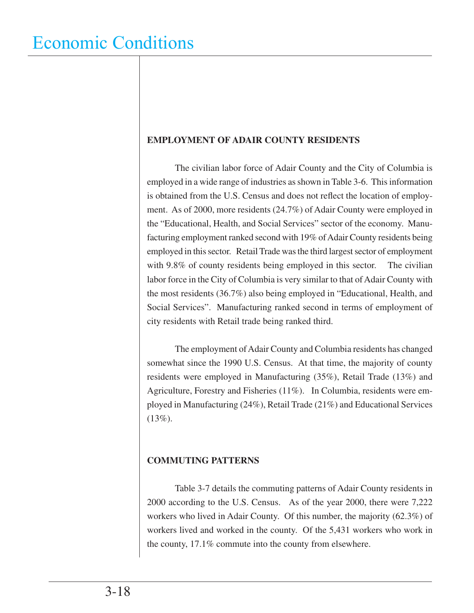#### **EMPLOYMENT OF ADAIR COUNTY RESIDENTS**

 The civilian labor force of Adair County and the City of Columbia is employed in a wide range of industries as shown in Table 3-6. This information is obtained from the U.S. Census and does not reflect the location of employment. As of 2000, more residents (24.7%) of Adair County were employed in the "Educational, Health, and Social Services" sector of the economy. Manufacturing employment ranked second with 19% of Adair County residents being employed in this sector. Retail Trade was the third largest sector of employment with 9.8% of county residents being employed in this sector. The civilian labor force in the City of Columbia is very similar to that of Adair County with the most residents (36.7%) also being employed in "Educational, Health, and Social Services". Manufacturing ranked second in terms of employment of city residents with Retail trade being ranked third.

 The employment of Adair County and Columbia residents has changed somewhat since the 1990 U.S. Census. At that time, the majority of county residents were employed in Manufacturing (35%), Retail Trade (13%) and Agriculture, Forestry and Fisheries (11%). In Columbia, residents were employed in Manufacturing (24%), Retail Trade (21%) and Educational Services  $(13\%).$ 

#### **COMMUTING PATTERNS**

 Table 3-7 details the commuting patterns of Adair County residents in 2000 according to the U.S. Census. As of the year 2000, there were 7,222 workers who lived in Adair County. Of this number, the majority (62.3%) of workers lived and worked in the county. Of the 5,431 workers who work in the county, 17.1% commute into the county from elsewhere.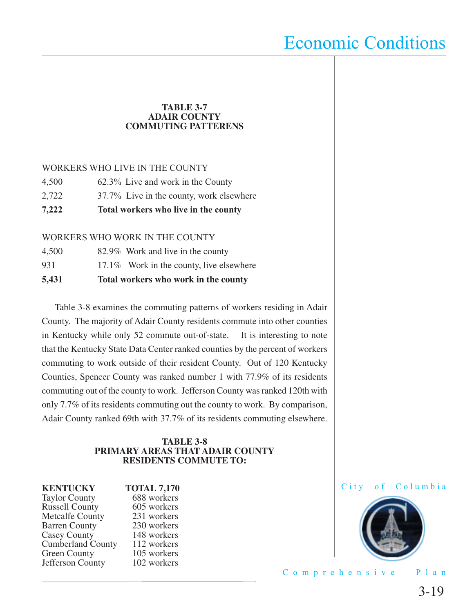#### **TABLE 3-7 ADAIR COUNTY COMMUTING PATTERENS**

#### WORKERS WHO LIVE IN THE COUNTY

- 4,500 62.3% Live and work in the County
- 2,722 37.7% Live in the county, work elsewhere
- **7,222 Total workers who live in the county**

#### WORKERS WHO WORK IN THE COUNTY

| 5,431 | Total workers who work in the county     |
|-------|------------------------------------------|
| 931   | 17.1% Work in the county, live elsewhere |
| 4,500 | 82.9% Work and live in the county        |

 Table 3-8 examines the commuting patterns of workers residing in Adair County. The majority of Adair County residents commute into other counties in Kentucky while only 52 commute out-of-state. It is interesting to note that the Kentucky State Data Center ranked counties by the percent of workers commuting to work outside of their resident County. Out of 120 Kentucky Counties, Spencer County was ranked number 1 with 77.9% of its residents commuting out of the county to work. Jefferson County was ranked 120th with only 7.7% of its residents commuting out the county to work. By comparison, Adair County ranked 69th with 37.7% of its residents commuting elsewhere.

#### **TABLE 3-8 PRIMARY AREAS THAT ADAIR COUNTY RESIDENTS COMMUTE TO:**

Taylor County 688 workers<br>
Russell County 605 workers Russell County 605 workers<br>
Metcalfe County 231 workers Metcalfe County 231 workers<br>Barren County 230 workers Barren County 230 workers<br>Casey County 148 workers Casey County 148 workers<br>Cumberland County 112 workers Cumberland County 112 workers<br>Green County 105 workers Green County 105 workers<br>Jefferson County 102 workers Jefferson County

**KENTUCKY TOTAL 7,170**<br>Taylor County 688 workers



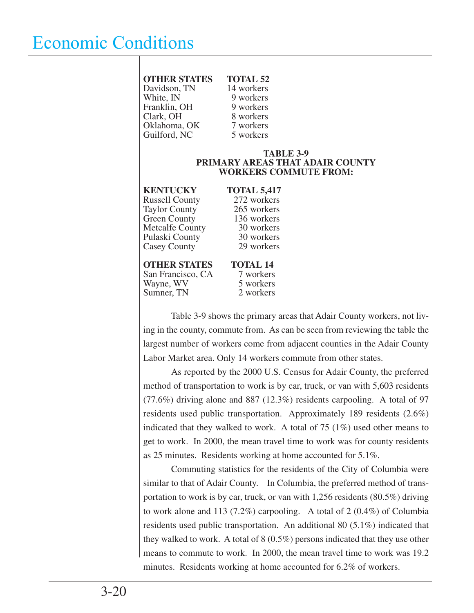| <b>OTHER STATES</b> | <b>TOTAL 52</b> |
|---------------------|-----------------|
| Davidson, TN        | 14 workers      |
| White, IN           | 9 workers       |
| Franklin, OH        | 9 workers       |
| Clark, OH           | 8 workers       |
| Oklahoma, OK        | 7 workers       |
| Guilford, NC        | 5 workers       |
|                     |                 |

#### **TABLE 3-9 PRIMARY AREAS THAT ADAIR COUNTY WORKERS COMMUTE FROM:**

| <b>KENTUCKY</b>        | TO <sup>T</sup> |
|------------------------|-----------------|
| <b>Russell County</b>  | 27              |
| <b>Taylor County</b>   | 26              |
| <b>Green County</b>    | 13              |
| <b>Metcalfe County</b> | 3               |
| Pulaski County         | 3               |
| Casey County           | 2               |
|                        |                 |
| <b>OTHER STATES</b>    | TC              |

**KAL 5,417** 2 workers  $5$  workers 6 workers  $0$  workers 0 workers 9 workers

## **THER STATES** TOTAL 14<br>Francisco, CA 7 workers

San Francisco, CA 7 workers<br>Wayne, WV 5 workers Wayne, WV 5 workers<br>
Sumner. TN 2 workers Sumner, TN

 Table 3-9 shows the primary areas that Adair County workers, not living in the county, commute from. As can be seen from reviewing the table the largest number of workers come from adjacent counties in the Adair County Labor Market area. Only 14 workers commute from other states.

 As reported by the 2000 U.S. Census for Adair County, the preferred method of transportation to work is by car, truck, or van with 5,603 residents (77.6%) driving alone and 887 (12.3%) residents carpooling. A total of 97 residents used public transportation. Approximately 189 residents (2.6%) indicated that they walked to work. A total of  $75 \, (1\%)$  used other means to get to work. In 2000, the mean travel time to work was for county residents as 25 minutes. Residents working at home accounted for 5.1%.

 Commuting statistics for the residents of the City of Columbia were similar to that of Adair County. In Columbia, the preferred method of transportation to work is by car, truck, or van with 1,256 residents (80.5%) driving to work alone and 113 (7.2%) carpooling. A total of 2 (0.4%) of Columbia residents used public transportation. An additional 80 (5.1%) indicated that they walked to work. A total of 8 (0.5%) persons indicated that they use other means to commute to work. In 2000, the mean travel time to work was 19.2 minutes. Residents working at home accounted for 6.2% of workers.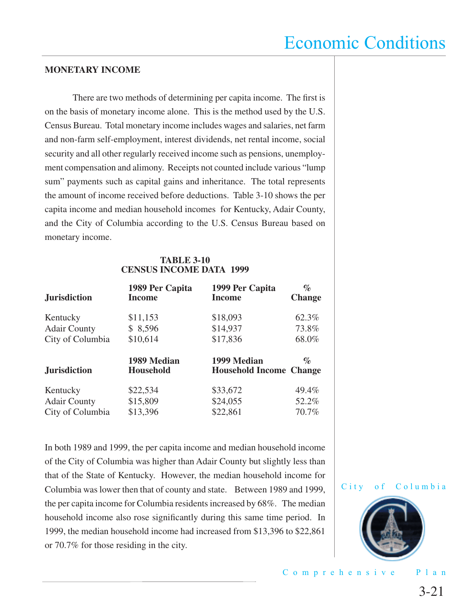#### **MONETARY INCOME**

There are two methods of determining per capita income. The first is on the basis of monetary income alone. This is the method used by the U.S. Census Bureau. Total monetary income includes wages and salaries, net farm and non-farm self-employment, interest dividends, net rental income, social security and all other regularly received income such as pensions, unemployment compensation and alimony. Receipts not counted include various "lump sum" payments such as capital gains and inheritance. The total represents the amount of income received before deductions. Table 3-10 shows the per capita income and median household incomes for Kentucky, Adair County, and the City of Columbia according to the U.S. Census Bureau based on monetary income.

#### **TABLE 3-10 CENSUS INCOME DATA 1999**

| <b>Jurisdiction</b> | 1989 Per Capita<br><b>Income</b> | 1999 Per Capita<br><b>Income</b>              | $\%$<br><b>Change</b>       |
|---------------------|----------------------------------|-----------------------------------------------|-----------------------------|
| Kentucky            | \$11,153                         | \$18,093                                      | 62.3%                       |
| <b>Adair County</b> | \$8,596                          | \$14,937                                      | 73.8%                       |
| City of Columbia    | \$10,614                         | \$17,836                                      | 68.0%                       |
| <b>Jurisdiction</b> | 1989 Median<br><b>Household</b>  | 1999 Median<br><b>Household Income Change</b> | $\mathcal{O}_{\mathcal{O}}$ |
| Kentucky            | \$22,534                         | \$33,672                                      | 49.4%                       |
| <b>Adair County</b> | \$15,809                         | \$24,055                                      | 52.2%                       |
| City of Columbia    | \$13,396                         | \$22,861                                      | 70.7%                       |

In both 1989 and 1999, the per capita income and median household income of the City of Columbia was higher than Adair County but slightly less than that of the State of Kentucky. However, the median household income for Columbia was lower then that of county and state. Between 1989 and 1999, the per capita income for Columbia residents increased by 68%. The median household income also rose significantly during this same time period. In 1999, the median household income had increased from \$13,396 to \$22,861 or 70.7% for those residing in the city.



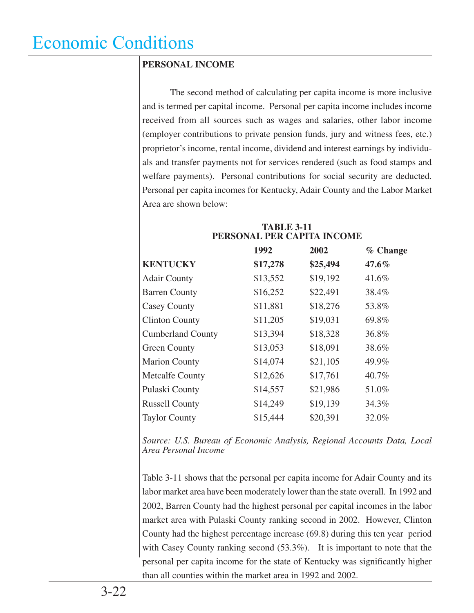#### **PERSONAL INCOME**

 The second method of calculating per capita income is more inclusive and is termed per capital income. Personal per capita income includes income received from all sources such as wages and salaries, other labor income (employer contributions to private pension funds, jury and witness fees, etc.) proprietor's income, rental income, dividend and interest earnings by individuals and transfer payments not for services rendered (such as food stamps and welfare payments). Personal contributions for social security are deducted. Personal per capita incomes for Kentucky, Adair County and the Labor Market Area are shown below:

| PERSONAL PER CAPITA INCOME |          |          |          |
|----------------------------|----------|----------|----------|
|                            | 1992     | 2002     | % Change |
| <b>KENTUCKY</b>            | \$17,278 | \$25,494 | $47.6\%$ |
| <b>Adair County</b>        | \$13,552 | \$19,192 | 41.6%    |
| <b>Barren County</b>       | \$16,252 | \$22,491 | 38.4%    |
| <b>Casey County</b>        | \$11,881 | \$18,276 | 53.8%    |
| <b>Clinton County</b>      | \$11,205 | \$19,031 | 69.8%    |
| <b>Cumberland County</b>   | \$13,394 | \$18,328 | 36.8%    |
| <b>Green County</b>        | \$13,053 | \$18,091 | 38.6%    |
| <b>Marion County</b>       | \$14,074 | \$21,105 | 49.9%    |
| <b>Metcalfe County</b>     | \$12,626 | \$17,761 | 40.7%    |
| Pulaski County             | \$14,557 | \$21,986 | 51.0%    |
| <b>Russell County</b>      | \$14,249 | \$19,139 | 34.3%    |
| <b>Taylor County</b>       | \$15,444 | \$20,391 | 32.0%    |

#### **TABLE 3-11 PERSONAL PER CAPITA INCOME**

*Source: U.S. Bureau of Economic Analysis, Regional Accounts Data, Local Area Personal Income*

Table 3-11 shows that the personal per capita income for Adair County and its labor market area have been moderately lower than the state overall. In 1992 and 2002, Barren County had the highest personal per capital incomes in the labor market area with Pulaski County ranking second in 2002. However, Clinton County had the highest percentage increase (69.8) during this ten year period with Casey County ranking second (53.3%). It is important to note that the personal per capita income for the state of Kentucky was significantly higher than all counties within the market area in 1992 and 2002.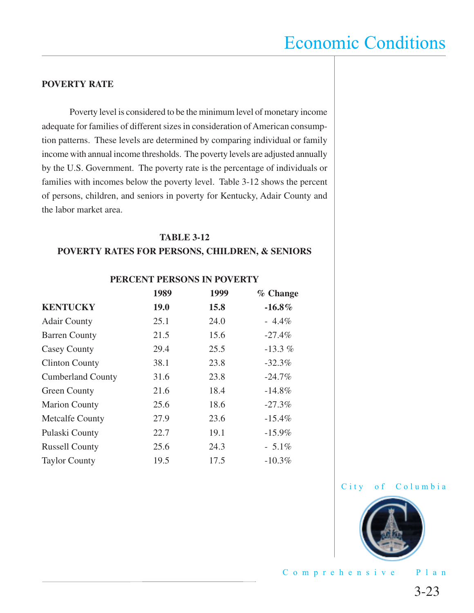#### **POVERTY RATE**

 Poverty level is considered to be the minimum level of monetary income adequate for families of different sizes in consideration of American consumption patterns. These levels are determined by comparing individual or family income with annual income thresholds. The poverty levels are adjusted annually by the U.S. Government. The poverty rate is the percentage of individuals or families with incomes below the poverty level. Table 3-12 shows the percent of persons, children, and seniors in poverty for Kentucky, Adair County and the labor market area.

#### **TABLE 3-12 POVERTY RATES FOR PERSONS, CHILDREN, & SENIORS**

**PERCENT PERSONS IN POVERTY**

|                          | 1989        | 1999 | % Change  |
|--------------------------|-------------|------|-----------|
| <b>KENTUCKY</b>          | <b>19.0</b> | 15.8 | $-16.8\%$ |
| <b>Adair County</b>      | 25.1        | 24.0 | $-4.4\%$  |
| <b>Barren County</b>     | 21.5        | 15.6 | $-27.4%$  |
| <b>Casey County</b>      | 29.4        | 25.5 | $-13.3\%$ |
| <b>Clinton County</b>    | 38.1        | 23.8 | $-32.3%$  |
| <b>Cumberland County</b> | 31.6        | 23.8 | $-24.7\%$ |
| <b>Green County</b>      | 21.6        | 18.4 | $-14.8\%$ |
| <b>Marion County</b>     | 25.6        | 18.6 | $-27.3%$  |
| <b>Metcalfe County</b>   | 27.9        | 23.6 | $-15.4%$  |
| Pulaski County           | 22.7        | 19.1 | $-15.9\%$ |
| <b>Russell County</b>    | 25.6        | 24.3 | $-5.1\%$  |
| <b>Taylor County</b>     | 19.5        | 17.5 | $-10.3%$  |



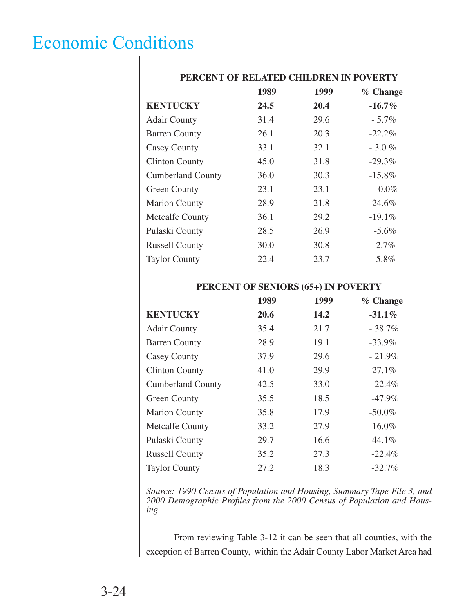|                          | 1989 | 1999 | % Change  |
|--------------------------|------|------|-----------|
| <b>KENTUCKY</b>          | 24.5 | 20.4 | $-16.7\%$ |
| <b>Adair County</b>      | 31.4 | 29.6 | $-5.7\%$  |
| <b>Barren County</b>     | 26.1 | 20.3 | $-22.2%$  |
| <b>Casey County</b>      | 33.1 | 32.1 | $-3.0%$   |
| <b>Clinton County</b>    | 45.0 | 31.8 | $-29.3%$  |
| <b>Cumberland County</b> | 36.0 | 30.3 | $-15.8\%$ |
| <b>Green County</b>      | 23.1 | 23.1 | $0.0\%$   |
| <b>Marion County</b>     | 28.9 | 21.8 | $-24.6\%$ |
| <b>Metcalfe County</b>   | 36.1 | 29.2 | $-19.1%$  |
| Pulaski County           | 28.5 | 26.9 | $-5.6%$   |
| <b>Russell County</b>    | 30.0 | 30.8 | 2.7%      |
| <b>Taylor County</b>     | 22.4 | 23.7 | 5.8%      |

#### **PERCENT OF RELATED CHILDREN IN POVERTY**

#### **PERCENT OF SENIORS (65+) IN POVERTY**

|                          | 1989 | 1999 | % Change  |
|--------------------------|------|------|-----------|
| <b>KENTUCKY</b>          | 20.6 | 14.2 | $-31.1%$  |
| <b>Adair County</b>      | 35.4 | 21.7 | $-38.7%$  |
| <b>Barren County</b>     | 28.9 | 19.1 | $-33.9%$  |
| <b>Casey County</b>      | 37.9 | 29.6 | $-21.9%$  |
| <b>Clinton County</b>    | 41.0 | 29.9 | $-27.1%$  |
| <b>Cumberland County</b> | 42.5 | 33.0 | $-22.4%$  |
| <b>Green County</b>      | 35.5 | 18.5 | $-47.9\%$ |
| <b>Marion County</b>     | 35.8 | 17.9 | $-50.0\%$ |
| <b>Metcalfe County</b>   | 33.2 | 27.9 | $-16.0\%$ |
| Pulaski County           | 29.7 | 16.6 | $-44.1\%$ |
| <b>Russell County</b>    | 35.2 | 27.3 | $-22.4%$  |
| <b>Taylor County</b>     | 27.2 | 18.3 | $-32.7\%$ |

*Source: 1990 Census of Population and Housing, Summary Tape File 3, and 2000 Demographic Profi les from the 2000 Census of Population and Housing*

 From reviewing Table 3-12 it can be seen that all counties, with the exception of Barren County, within the Adair County Labor Market Area had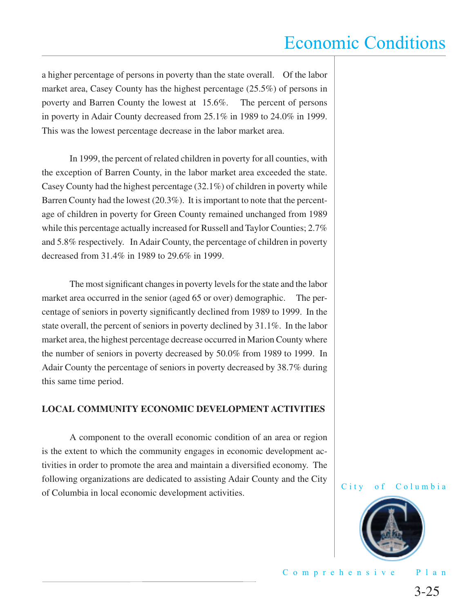a higher percentage of persons in poverty than the state overall. Of the labor market area, Casey County has the highest percentage (25.5%) of persons in poverty and Barren County the lowest at 15.6%. The percent of persons in poverty in Adair County decreased from 25.1% in 1989 to 24.0% in 1999. This was the lowest percentage decrease in the labor market area.

 In 1999, the percent of related children in poverty for all counties, with the exception of Barren County, in the labor market area exceeded the state. Casey County had the highest percentage (32.1%) of children in poverty while Barren County had the lowest (20.3%). It is important to note that the percentage of children in poverty for Green County remained unchanged from 1989 while this percentage actually increased for Russell and Taylor Counties; 2.7% and 5.8% respectively. In Adair County, the percentage of children in poverty decreased from 31.4% in 1989 to 29.6% in 1999.

The most significant changes in poverty levels for the state and the labor market area occurred in the senior (aged 65 or over) demographic. The percentage of seniors in poverty significantly declined from 1989 to 1999. In the state overall, the percent of seniors in poverty declined by 31.1%. In the labor market area, the highest percentage decrease occurred in Marion County where the number of seniors in poverty decreased by 50.0% from 1989 to 1999. In Adair County the percentage of seniors in poverty decreased by 38.7% during this same time period.

#### **LOCAL COMMUNITY ECONOMIC DEVELOPMENT ACTIVITIES**

 A component to the overall economic condition of an area or region is the extent to which the community engages in economic development activities in order to promote the area and maintain a diversified economy. The following organizations are dedicated to assisting Adair County and the City of Columbia in local economic development activities.



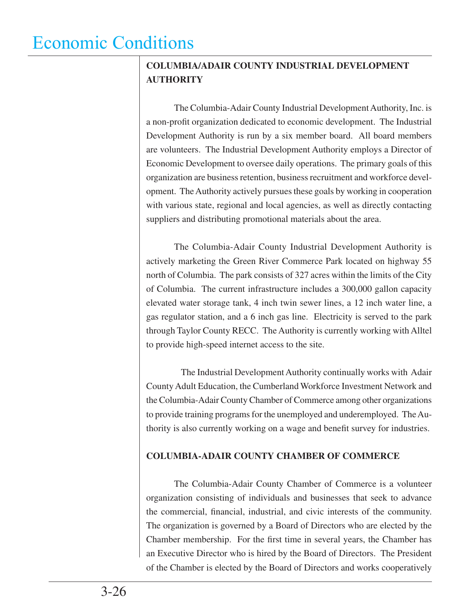#### **COLUMBIA/ADAIR COUNTY INDUSTRIAL DEVELOPMENT AUTHORITY**

The Columbia-Adair County Industrial Development Authority, Inc. is a non-profit organization dedicated to economic development. The Industrial Development Authority is run by a six member board. All board members are volunteers. The Industrial Development Authority employs a Director of Economic Development to oversee daily operations. The primary goals of this organization are business retention, business recruitment and workforce development. The Authority actively pursues these goals by working in cooperation with various state, regional and local agencies, as well as directly contacting suppliers and distributing promotional materials about the area.

 The Columbia-Adair County Industrial Development Authority is actively marketing the Green River Commerce Park located on highway 55 north of Columbia. The park consists of 327 acres within the limits of the City of Columbia. The current infrastructure includes a 300,000 gallon capacity elevated water storage tank, 4 inch twin sewer lines, a 12 inch water line, a gas regulator station, and a 6 inch gas line. Electricity is served to the park through Taylor County RECC. The Authority is currently working with Alltel to provide high-speed internet access to the site.

 The Industrial Development Authority continually works with Adair County Adult Education, the Cumberland Workforce Investment Network and the Columbia-Adair County Chamber of Commerce among other organizations to provide training programs for the unemployed and underemployed. The Authority is also currently working on a wage and benefit survey for industries.

#### **COLUMBIA-ADAIR COUNTY CHAMBER OF COMMERCE**

 The Columbia-Adair County Chamber of Commerce is a volunteer organization consisting of individuals and businesses that seek to advance the commercial, financial, industrial, and civic interests of the community. The organization is governed by a Board of Directors who are elected by the Chamber membership. For the first time in several years, the Chamber has an Executive Director who is hired by the Board of Directors. The President of the Chamber is elected by the Board of Directors and works cooperatively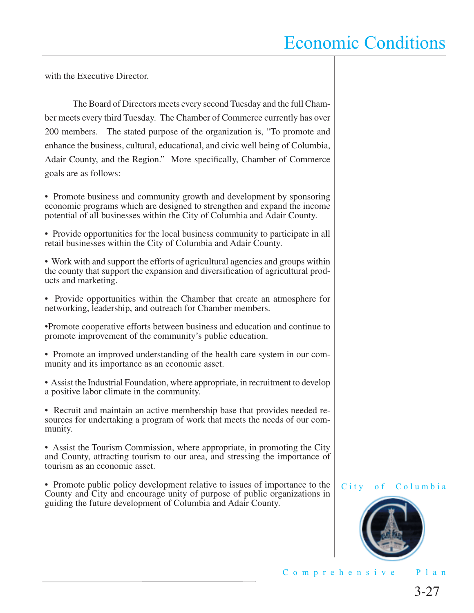with the Executive Director.

 The Board of Directors meets every second Tuesday and the full Chamber meets every third Tuesday. The Chamber of Commerce currently has over 200 members. The stated purpose of the organization is, "To promote and enhance the business, cultural, educational, and civic well being of Columbia, Adair County, and the Region." More specifically, Chamber of Commerce goals are as follows:

• Promote business and community growth and development by sponsoring economic programs which are designed to strengthen and expand the income potential of all businesses within the City of Columbia and Adair County.

• Provide opportunities for the local business community to participate in all retail businesses within the City of Columbia and Adair County.

• Work with and support the efforts of agricultural agencies and groups within the county that support the expansion and diversification of agricultural products and marketing.

• Provide opportunities within the Chamber that create an atmosphere for networking, leadership, and outreach for Chamber members.

•Promote cooperative efforts between business and education and continue to promote improvement of the community's public education.

• Promote an improved understanding of the health care system in our community and its importance as an economic asset.

• Assist the Industrial Foundation, where appropriate, in recruitment to develop a positive labor climate in the community.

• Recruit and maintain an active membership base that provides needed resources for undertaking a program of work that meets the needs of our community.

• Assist the Tourism Commission, where appropriate, in promoting the City and County, attracting tourism to our area, and stressing the importance of tourism as an economic asset.

• Promote public policy development relative to issues of importance to the County and City and encourage unity of purpose of public organizations in guiding the future development of Columbia and Adair County.



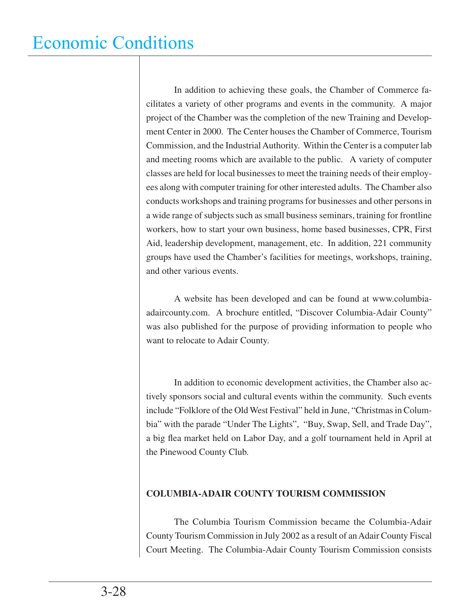In addition to achieving these goals, the Chamber of Commerce facilitates a variety of other programs and events in the community. A major project of the Chamber was the completion of the new Training and Development Center in 2000. The Center houses the Chamber of Commerce, Tourism Commission, and the Industrial Authority. Within the Center is a computer lab and meeting rooms which are available to the public. A variety of computer classes are held for local businesses to meet the training needs of their employees along with computer training for other interested adults. The Chamber also conducts workshops and training programs for businesses and other persons in a wide range of subjects such as small business seminars, training for frontline workers, how to start your own business, home based businesses, CPR, First Aid, leadership development, management, etc. In addition, 221 community groups have used the Chamber's facilities for meetings, workshops, training, and other various events.

 A website has been developed and can be found at www.columbiaadaircounty.com. A brochure entitled, "Discover Columbia-Adair County" was also published for the purpose of providing information to people who want to relocate to Adair County.

 In addition to economic development activities, the Chamber also actively sponsors social and cultural events within the community. Such events include "Folklore of the Old West Festival" held in June, "Christmas in Columbia" with the parade "Under The Lights", "Buy, Swap, Sell, and Trade Day", a big flea market held on Labor Day, and a golf tournament held in April at the Pinewood County Club.

#### **COLUMBIA-ADAIR COUNTY TOURISM COMMISSION**

 The Columbia Tourism Commission became the Columbia-Adair County Tourism Commission in July 2002 as a result of an Adair County Fiscal Court Meeting. The Columbia-Adair County Tourism Commission consists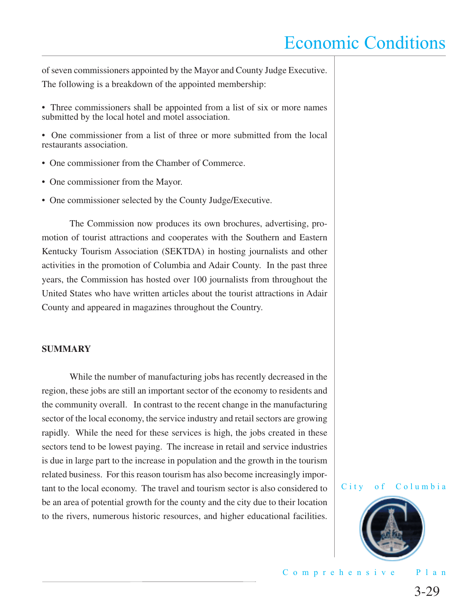of seven commissioners appointed by the Mayor and County Judge Executive. The following is a breakdown of the appointed membership:

- Three commissioners shall be appointed from a list of six or more names submitted by the local hotel and motel association.
- One commissioner from a list of three or more submitted from the local restaurants association.
- One commissioner from the Chamber of Commerce.
- One commissioner from the Mayor.
- One commissioner selected by the County Judge/Executive.

 The Commission now produces its own brochures, advertising, promotion of tourist attractions and cooperates with the Southern and Eastern Kentucky Tourism Association (SEKTDA) in hosting journalists and other activities in the promotion of Columbia and Adair County. In the past three years, the Commission has hosted over 100 journalists from throughout the United States who have written articles about the tourist attractions in Adair County and appeared in magazines throughout the Country.

#### **SUMMARY**

While the number of manufacturing jobs has recently decreased in the region, these jobs are still an important sector of the economy to residents and the community overall. In contrast to the recent change in the manufacturing sector of the local economy, the service industry and retail sectors are growing rapidly. While the need for these services is high, the jobs created in these sectors tend to be lowest paying. The increase in retail and service industries is due in large part to the increase in population and the growth in the tourism related business. For this reason tourism has also become increasingly important to the local economy. The travel and tourism sector is also considered to be an area of potential growth for the county and the city due to their location to the rivers, numerous historic resources, and higher educational facilities.